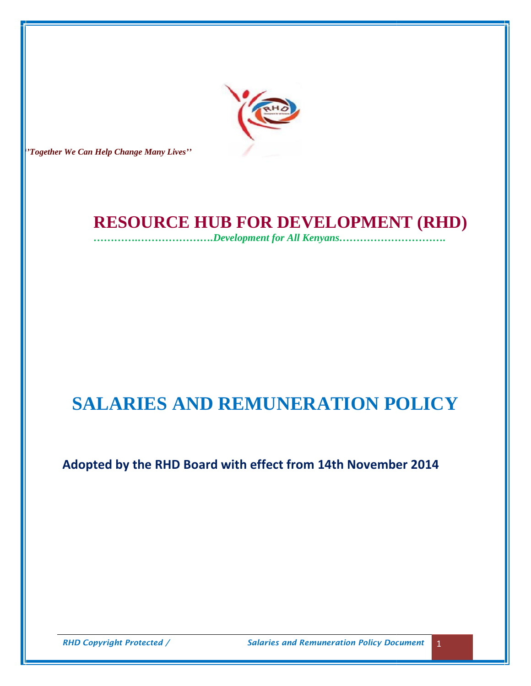

*''Together We Can Help Change Many Lives'' Can Help* 

# **RESOURCE HUB FOR DEVELOPMENT (RHD)**

*………….………………….Development for All Kenyans………………………….*

# **SALARIES AND REMUNERATION POLICY** */* **HUB** *………….………………….Development for* **SALARIES**

# **Adopted by the RHD Board with effect from 14th November 2014**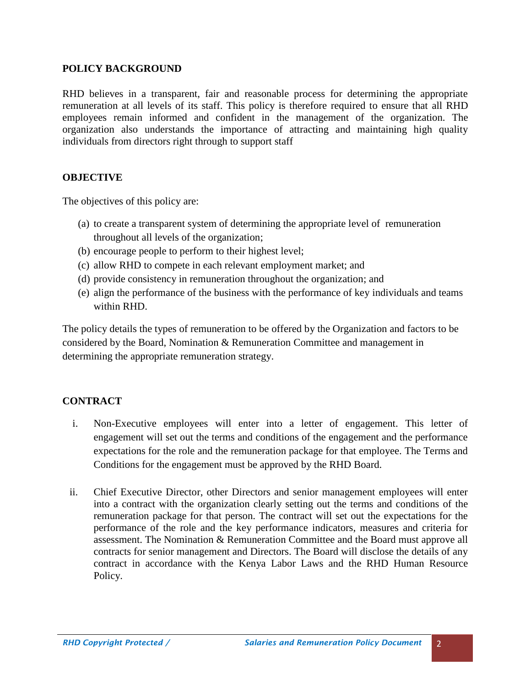### **POLICY BACKGROUND**

RHD believes in a transparent, fair and reasonable process for determining the appropriate remuneration at all levels of its staff. This policy is therefore required to ensure that all RHD employees remain informed and confident in the management of the organization. The organization also understands the importance of attracting and maintaining high quality individuals from directors right through to support staff

### **OBJECTIVE**

The objectives of this policy are:

- (a) to create a transparent system of determining the appropriate level of remuneration throughout all levels of the organization;
- (b) encourage people to perform to their highest level;
- (c) allow RHD to compete in each relevant employment market; and
- (d) provide consistency in remuneration throughout the organization; and
- (e) align the performance of the business with the performance of key individuals and teams within RHD.

The policy details the types of remuneration to be offered by the Organization and factors to be considered by the Board, Nomination & Remuneration Committee and management in determining the appropriate remuneration strategy.

### **CONTRACT**

- i. Non-Executive employees will enter into a letter of engagement. This letter of engagement will set out the terms and conditions of the engagement and the performance expectations for the role and the remuneration package for that employee. The Terms and Conditions for the engagement must be approved by the RHD Board.
- ii. Chief Executive Director, other Directors and senior management employees will enter into a contract with the organization clearly setting out the terms and conditions of the remuneration package for that person. The contract will set out the expectations for the performance of the role and the key performance indicators, measures and criteria for assessment. The Nomination & Remuneration Committee and the Board must approve all contracts for senior management and Directors. The Board will disclose the details of any contract in accordance with the Kenya Labor Laws and the RHD Human Resource Policy.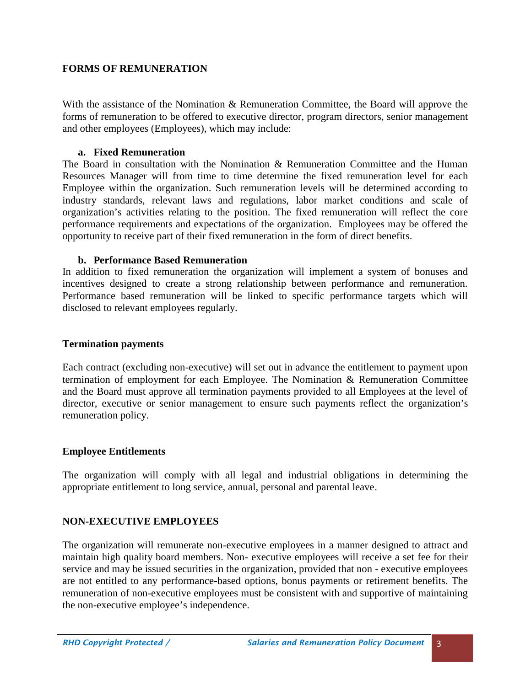### **FORMS OF REMUNERATION**

With the assistance of the Nomination & Remuneration Committee, the Board will approve the forms of remuneration to be offered to executive director, program directors, senior management and other employees (Employees), which may include:

### **a. Fixed Remuneration**

The Board in consultation with the Nomination & Remuneration Committee and the Human Resources Manager will from time to time determine the fixed remuneration level for each Employee within the organization. Such remuneration levels will be determined according to industry standards, relevant laws and regulations, labor market conditions and scale of organization's activities relating to the position. The fixed remuneration will reflect the core performance requirements and expectations of the organization. Employees may be offered the opportunity to receive part of their fixed remuneration in the form of direct benefits.

### **b. Performance Based Remuneration**

In addition to fixed remuneration the organization will implement a system of bonuses and incentives designed to create a strong relationship between performance and remuneration. Performance based remuneration will be linked to specific performance targets which will disclosed to relevant employees regularly.

### **Termination payments**

Each contract (excluding non-executive) will set out in advance the entitlement to payment upon termination of employment for each Employee. The Nomination & Remuneration Committee and the Board must approve all termination payments provided to all Employees at the level of director, executive or senior management to ensure such payments reflect the organization's remuneration policy.

### **Employee Entitlements**

The organization will comply with all legal and industrial obligations in determining the appropriate entitlement to long service, annual, personal and parental leave.

### **NON-EXECUTIVE EMPLOYEES**

The organization will remunerate non-executive employees in a manner designed to attract and maintain high quality board members. Non- executive employees will receive a set fee for their service and may be issued securities in the organization, provided that non - executive employees are not entitled to any performance-based options, bonus payments or retirement benefits. The remuneration of non-executive employees must be consistent with and supportive of maintaining the non-executive employee's independence.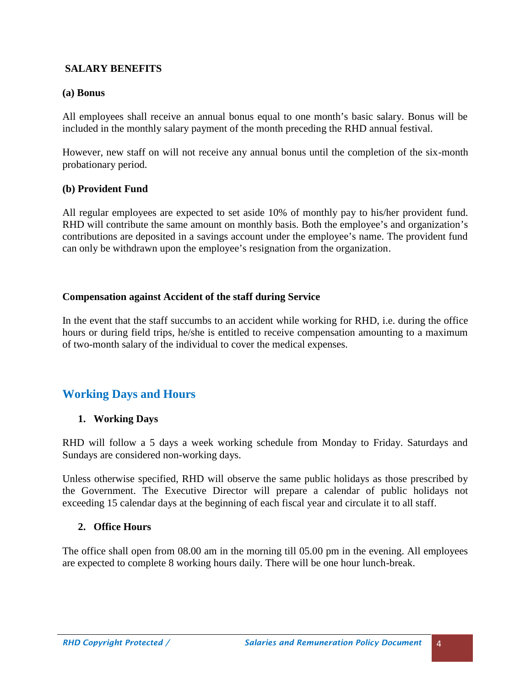### **SALARY BENEFITS**

### **(a) Bonus**

All employees shall receive an annual bonus equal to one month's basic salary. Bonus will be included in the monthly salary payment of the month preceding the RHD annual festival.

However, new staff on will not receive any annual bonus until the completion of the six-month probationary period.

### **(b) Provident Fund**

All regular employees are expected to set aside 10% of monthly pay to his/her provident fund. RHD will contribute the same amount on monthly basis. Both the employee's and organization's contributions are deposited in a savings account under the employee's name. The provident fund can only be withdrawn upon the employee's resignation from the organization.

### **Compensation against Accident of the staff during Service**

In the event that the staff succumbs to an accident while working for RHD, i.e. during the office hours or during field trips, he/she is entitled to receive compensation amounting to a maximum of two-month salary of the individual to cover the medical expenses.

## **Working Days and Hours**

### **1. Working Days**

RHD will follow a 5 days a week working schedule from Monday to Friday. Saturdays and Sundays are considered non-working days.

Unless otherwise specified, RHD will observe the same public holidays as those prescribed by the Government. The Executive Director will prepare a calendar of public holidays not exceeding 15 calendar days at the beginning of each fiscal year and circulate it to all staff.

### **2. Office Hours**

The office shall open from 08.00 am in the morning till 05.00 pm in the evening. All employees are expected to complete 8 working hours daily. There will be one hour lunch-break.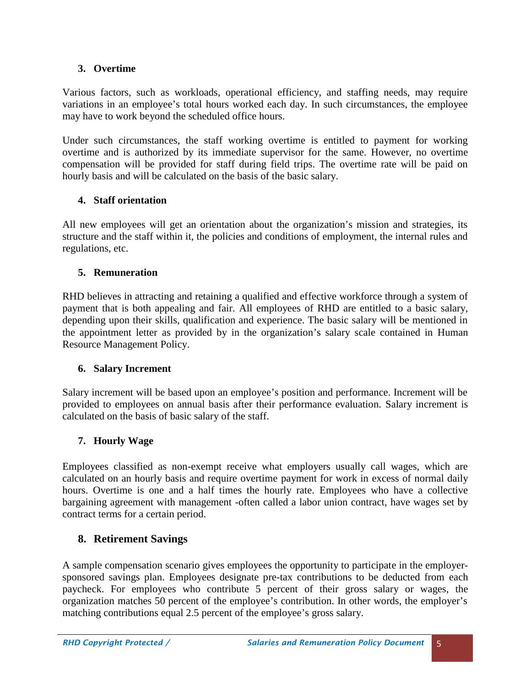### **3. Overtime**

Various factors, such as workloads, operational efficiency, and staffing needs, may require variations in an employee's total hours worked each day. In such circumstances, the employee may have to work beyond the scheduled office hours.

Under such circumstances, the staff working overtime is entitled to payment for working overtime and is authorized by its immediate supervisor for the same. However, no overtime compensation will be provided for staff during field trips. The overtime rate will be paid on hourly basis and will be calculated on the basis of the basic salary.

### **4. Staff orientation**

All new employees will get an orientation about the organization's mission and strategies, its structure and the staff within it, the policies and conditions of employment, the internal rules and regulations, etc.

### **5. Remuneration**

RHD believes in attracting and retaining a qualified and effective workforce through a system of payment that is both appealing and fair. All employees of RHD are entitled to a basic salary, depending upon their skills, qualification and experience. The basic salary will be mentioned in the appointment letter as provided by in the organization's salary scale contained in Human Resource Management Policy.

### **6. Salary Increment**

Salary increment will be based upon an employee's position and performance. Increment will be provided to employees on annual basis after their performance evaluation. Salary increment is calculated on the basis of basic salary of the staff.

### **7. Hourly Wage**

Employees classified as non-exempt receive what employers usually call wages, which are calculated on an hourly basis and require overtime payment for work in excess of normal daily hours. Overtime is one and a half times the hourly rate. Employees who have a collective bargaining agreement with management -often called a labor union contract, have wages set by contract terms for a certain period.

### **8. Retirement Savings**

A sample compensation scenario gives employees the opportunity to participate in the employer sponsored savings plan. Employees designate pre-tax contributions to be deducted from each paycheck. For employees who contribute 5 percent of their gross salary or wages, the organization matches 50 percent of the employee's contribution. In other words, the employer's matching contributions equal 2.5 percent of the employee's gross salary.